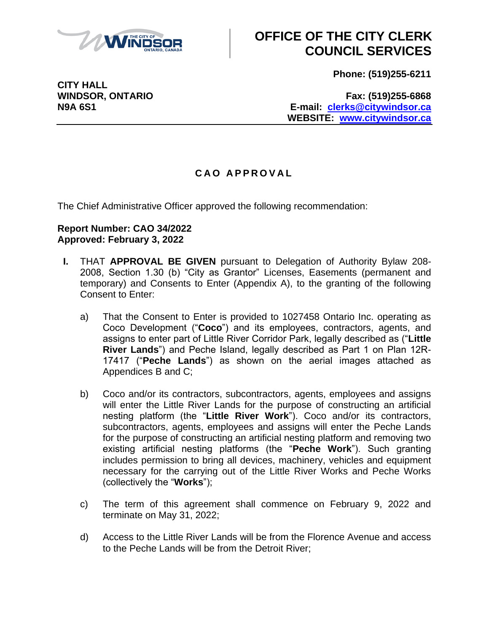

# **OFFICE OF THE CITY CLERK COUNCIL SERVICES**

**Phone: (519)255-6211**

**WINDSOR, ONTARIO Fax: (519)255-6868 N9A 6S1 E-mail: [clerks@citywindsor.ca](mailto:clerks@citywindsor.ca) WEBSITE: [www.citywindsor.ca](http://www.citywindsor.ca/)**

### **C A O A P P R O V A L**

The Chief Administrative Officer approved the following recommendation:

#### **Report Number: CAO 34/2022 Approved: February 3, 2022**

- **I.** THAT **APPROVAL BE GIVEN** pursuant to Delegation of Authority Bylaw 208- 2008, Section 1.30 (b) "City as Grantor" Licenses, Easements (permanent and temporary) and Consents to Enter (Appendix A), to the granting of the following Consent to Enter:
	- a) That the Consent to Enter is provided to 1027458 Ontario Inc. operating as Coco Development ("**Coco**") and its employees, contractors, agents, and assigns to enter part of Little River Corridor Park, legally described as ("**Little River Lands**") and Peche Island, legally described as Part 1 on Plan 12R-17417 ("**Peche Lands**") as shown on the aerial images attached as Appendices B and C;
	- b) Coco and/or its contractors, subcontractors, agents, employees and assigns will enter the Little River Lands for the purpose of constructing an artificial nesting platform (the "**Little River Work**"). Coco and/or its contractors, subcontractors, agents, employees and assigns will enter the Peche Lands for the purpose of constructing an artificial nesting platform and removing two existing artificial nesting platforms (the "**Peche Work**"). Such granting includes permission to bring all devices, machinery, vehicles and equipment necessary for the carrying out of the Little River Works and Peche Works (collectively the "**Works**");
	- c) The term of this agreement shall commence on February 9, 2022 and terminate on May 31, 2022;
	- d) Access to the Little River Lands will be from the Florence Avenue and access to the Peche Lands will be from the Detroit River;

**CITY HALL**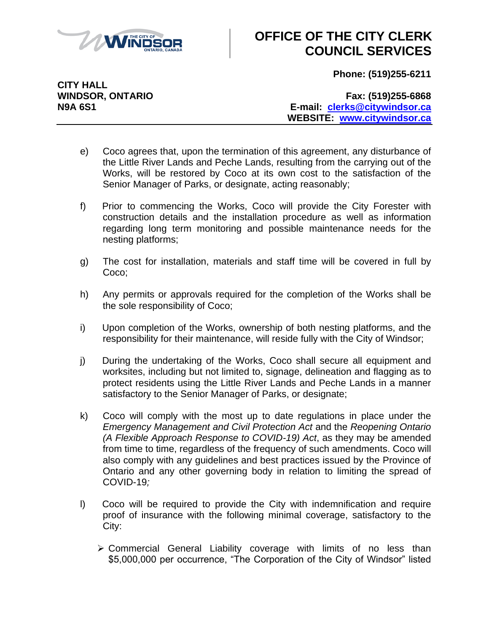

# **OFFICE OF THE CITY CLERK COUNCIL SERVICES**

**Phone: (519)255-6211**

**CITY HALL**

**WINDSOR, ONTARIO Fax: (519)255-6868 N9A 6S1 E-mail: [clerks@citywindsor.ca](mailto:clerks@citywindsor.ca) WEBSITE: [www.citywindsor.ca](http://www.citywindsor.ca/)**

- e) Coco agrees that, upon the termination of this agreement, any disturbance of the Little River Lands and Peche Lands, resulting from the carrying out of the Works, will be restored by Coco at its own cost to the satisfaction of the Senior Manager of Parks, or designate, acting reasonably;
- f) Prior to commencing the Works, Coco will provide the City Forester with construction details and the installation procedure as well as information regarding long term monitoring and possible maintenance needs for the nesting platforms;
- g) The cost for installation, materials and staff time will be covered in full by Coco;
- h) Any permits or approvals required for the completion of the Works shall be the sole responsibility of Coco;
- i) Upon completion of the Works, ownership of both nesting platforms, and the responsibility for their maintenance, will reside fully with the City of Windsor;
- j) During the undertaking of the Works, Coco shall secure all equipment and worksites, including but not limited to, signage, delineation and flagging as to protect residents using the Little River Lands and Peche Lands in a manner satisfactory to the Senior Manager of Parks, or designate;
- k) Coco will comply with the most up to date regulations in place under the *Emergency Management and Civil Protection Act* and the *Reopening Ontario (A Flexible Approach Response to COVID-19) Act*, as they may be amended from time to time, regardless of the frequency of such amendments. Coco will also comply with any guidelines and best practices issued by the Province of Ontario and any other governing body in relation to limiting the spread of COVID-19*;*
- l) Coco will be required to provide the City with indemnification and require proof of insurance with the following minimal coverage, satisfactory to the City:
	- Commercial General Liability coverage with limits of no less than \$5,000,000 per occurrence, "The Corporation of the City of Windsor" listed